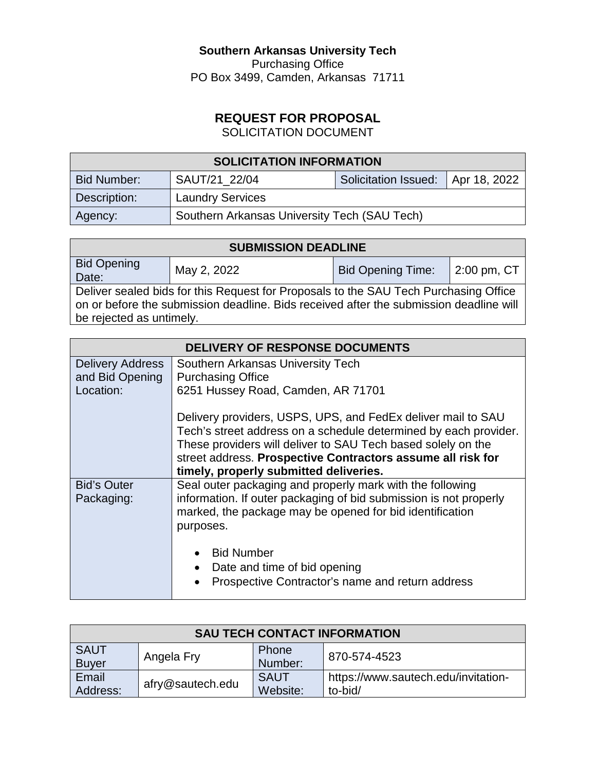# **Southern Arkansas University Tech**

Purchasing Office PO Box 3499, Camden, Arkansas 71711

# **REQUEST FOR PROPOSAL**

SOLICITATION DOCUMENT

| <b>SOLICITATION INFORMATION</b> |                                              |                                     |  |
|---------------------------------|----------------------------------------------|-------------------------------------|--|
| Bid Number:                     | SAUT/21 22/04                                | Solicitation Issued:   Apr 18, 2022 |  |
| Description:                    | <b>Laundry Services</b>                      |                                     |  |
| Agency:                         | Southern Arkansas University Tech (SAU Tech) |                                     |  |

| <b>SUBMISSION DEADLINE</b>                                                                                                                                                                                 |             |                          |             |
|------------------------------------------------------------------------------------------------------------------------------------------------------------------------------------------------------------|-------------|--------------------------|-------------|
| <b>Bid Opening</b><br>Date:                                                                                                                                                                                | May 2, 2022 | <b>Bid Opening Time:</b> | 2:00 pm, CT |
| Deliver sealed bids for this Request for Proposals to the SAU Tech Purchasing Office<br>on or before the submission deadline. Bids received after the submission deadline will<br>be rejected as untimely. |             |                          |             |

| DELIVERY OF RESPONSE DOCUMENTS |                                                                                                                                                                                                                                                                                                           |  |
|--------------------------------|-----------------------------------------------------------------------------------------------------------------------------------------------------------------------------------------------------------------------------------------------------------------------------------------------------------|--|
| <b>Delivery Address</b>        | Southern Arkansas University Tech                                                                                                                                                                                                                                                                         |  |
| and Bid Opening                | <b>Purchasing Office</b>                                                                                                                                                                                                                                                                                  |  |
| Location:                      | 6251 Hussey Road, Camden, AR 71701                                                                                                                                                                                                                                                                        |  |
|                                | Delivery providers, USPS, UPS, and FedEx deliver mail to SAU<br>Tech's street address on a schedule determined by each provider.<br>These providers will deliver to SAU Tech based solely on the<br>street address. Prospective Contractors assume all risk for<br>timely, properly submitted deliveries. |  |
| <b>Bid's Outer</b>             | Seal outer packaging and properly mark with the following                                                                                                                                                                                                                                                 |  |
| Packaging:                     | information. If outer packaging of bid submission is not properly<br>marked, the package may be opened for bid identification<br>purposes.                                                                                                                                                                |  |
|                                | <b>Bid Number</b><br>Date and time of bid opening<br>Prospective Contractor's name and return address                                                                                                                                                                                                     |  |

| <b>SAU TECH CONTACT INFORMATION</b> |                  |                         |                                                |
|-------------------------------------|------------------|-------------------------|------------------------------------------------|
| <b>SAUT</b><br><b>Buyer</b>         | Angela Fry       | <b>Phone</b><br>Number: | 870-574-4523                                   |
| Email<br>Address:                   | afry@sautech.edu | <b>SAUT</b><br>Website: | https://www.sautech.edu/invitation-<br>to-bid/ |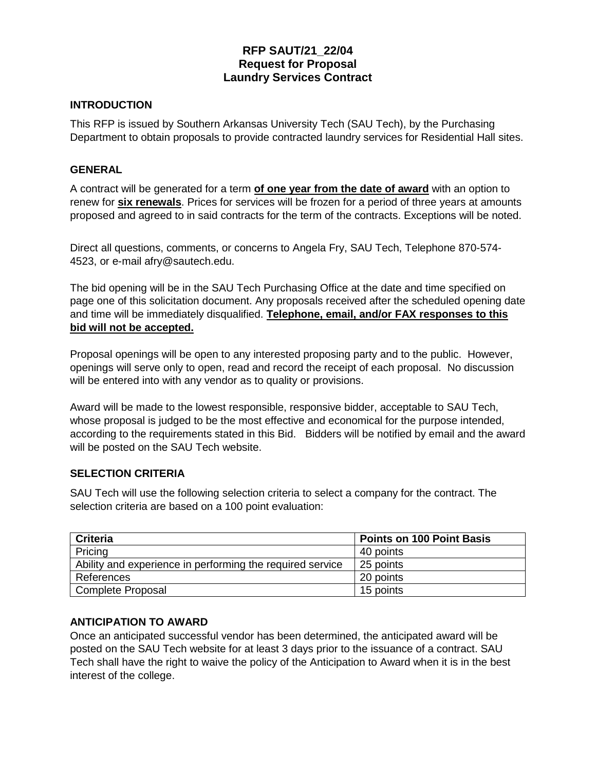# **RFP SAUT/21\_22/04 Request for Proposal Laundry Services Contract**

### **INTRODUCTION**

This RFP is issued by Southern Arkansas University Tech (SAU Tech), by the Purchasing Department to obtain proposals to provide contracted laundry services for Residential Hall sites.

#### **GENERAL**

A contract will be generated for a term **of one year from the date of award** with an option to renew for **six renewals**. Prices for services will be frozen for a period of three years at amounts proposed and agreed to in said contracts for the term of the contracts. Exceptions will be noted.

Direct all questions, comments, or concerns to Angela Fry, SAU Tech, Telephone 870-574- 4523, or e-mail afry@sautech.edu.

The bid opening will be in the SAU Tech Purchasing Office at the date and time specified on page one of this solicitation document. Any proposals received after the scheduled opening date and time will be immediately disqualified. **Telephone, email, and/or FAX responses to this bid will not be accepted.** 

Proposal openings will be open to any interested proposing party and to the public. However, openings will serve only to open, read and record the receipt of each proposal. No discussion will be entered into with any vendor as to quality or provisions.

Award will be made to the lowest responsible, responsive bidder, acceptable to SAU Tech, whose proposal is judged to be the most effective and economical for the purpose intended, according to the requirements stated in this Bid. Bidders will be notified by email and the award will be posted on the SAU Tech website.

### **SELECTION CRITERIA**

SAU Tech will use the following selection criteria to select a company for the contract. The selection criteria are based on a 100 point evaluation:

| <b>Criteria</b>                                           | <b>Points on 100 Point Basis</b> |
|-----------------------------------------------------------|----------------------------------|
| Pricing                                                   | 40 points                        |
| Ability and experience in performing the required service | 25 points                        |
| References                                                | 20 points                        |
| Complete Proposal                                         | 15 points                        |

#### **ANTICIPATION TO AWARD**

Once an anticipated successful vendor has been determined, the anticipated award will be posted on the SAU Tech website for at least 3 days prior to the issuance of a contract. SAU Tech shall have the right to waive the policy of the Anticipation to Award when it is in the best interest of the college.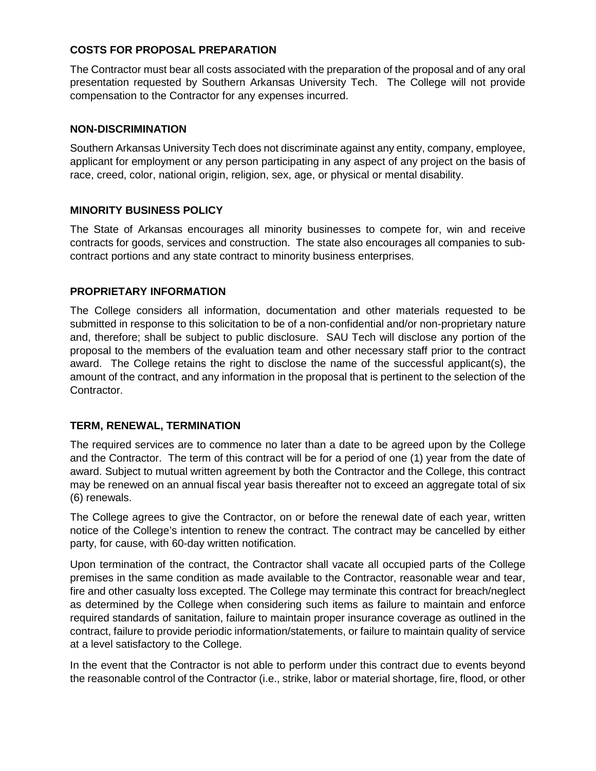### **COSTS FOR PROPOSAL PREPARATION**

The Contractor must bear all costs associated with the preparation of the proposal and of any oral presentation requested by Southern Arkansas University Tech. The College will not provide compensation to the Contractor for any expenses incurred.

### **NON-DISCRIMINATION**

Southern Arkansas University Tech does not discriminate against any entity, company, employee, applicant for employment or any person participating in any aspect of any project on the basis of race, creed, color, national origin, religion, sex, age, or physical or mental disability.

### **MINORITY BUSINESS POLICY**

The State of Arkansas encourages all minority businesses to compete for, win and receive contracts for goods, services and construction. The state also encourages all companies to subcontract portions and any state contract to minority business enterprises.

### **PROPRIETARY INFORMATION**

The College considers all information, documentation and other materials requested to be submitted in response to this solicitation to be of a non-confidential and/or non-proprietary nature and, therefore; shall be subject to public disclosure. SAU Tech will disclose any portion of the proposal to the members of the evaluation team and other necessary staff prior to the contract award. The College retains the right to disclose the name of the successful applicant(s), the amount of the contract, and any information in the proposal that is pertinent to the selection of the Contractor.

### **TERM, RENEWAL, TERMINATION**

The required services are to commence no later than a date to be agreed upon by the College and the Contractor. The term of this contract will be for a period of one (1) year from the date of award. Subject to mutual written agreement by both the Contractor and the College, this contract may be renewed on an annual fiscal year basis thereafter not to exceed an aggregate total of six (6) renewals.

The College agrees to give the Contractor, on or before the renewal date of each year, written notice of the College's intention to renew the contract. The contract may be cancelled by either party, for cause, with 60-day written notification.

Upon termination of the contract, the Contractor shall vacate all occupied parts of the College premises in the same condition as made available to the Contractor, reasonable wear and tear, fire and other casualty loss excepted. The College may terminate this contract for breach/neglect as determined by the College when considering such items as failure to maintain and enforce required standards of sanitation, failure to maintain proper insurance coverage as outlined in the contract, failure to provide periodic information/statements, or failure to maintain quality of service at a level satisfactory to the College.

In the event that the Contractor is not able to perform under this contract due to events beyond the reasonable control of the Contractor (i.e., strike, labor or material shortage, fire, flood, or other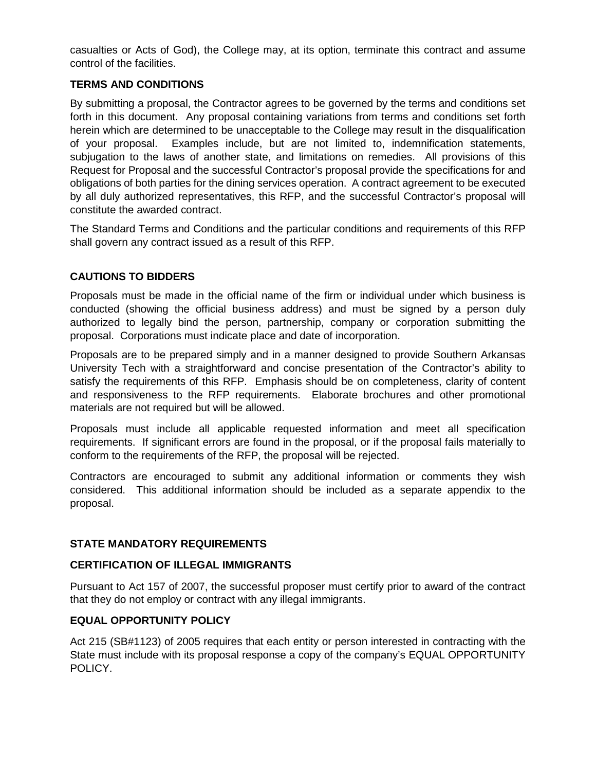casualties or Acts of God), the College may, at its option, terminate this contract and assume control of the facilities.

### **TERMS AND CONDITIONS**

By submitting a proposal, the Contractor agrees to be governed by the terms and conditions set forth in this document. Any proposal containing variations from terms and conditions set forth herein which are determined to be unacceptable to the College may result in the disqualification of your proposal. Examples include, but are not limited to, indemnification statements, subjugation to the laws of another state, and limitations on remedies. All provisions of this Request for Proposal and the successful Contractor's proposal provide the specifications for and obligations of both parties for the dining services operation. A contract agreement to be executed by all duly authorized representatives, this RFP, and the successful Contractor's proposal will constitute the awarded contract.

The Standard Terms and Conditions and the particular conditions and requirements of this RFP shall govern any contract issued as a result of this RFP.

### **CAUTIONS TO BIDDERS**

Proposals must be made in the official name of the firm or individual under which business is conducted (showing the official business address) and must be signed by a person duly authorized to legally bind the person, partnership, company or corporation submitting the proposal. Corporations must indicate place and date of incorporation.

Proposals are to be prepared simply and in a manner designed to provide Southern Arkansas University Tech with a straightforward and concise presentation of the Contractor's ability to satisfy the requirements of this RFP. Emphasis should be on completeness, clarity of content and responsiveness to the RFP requirements. Elaborate brochures and other promotional materials are not required but will be allowed.

Proposals must include all applicable requested information and meet all specification requirements. If significant errors are found in the proposal, or if the proposal fails materially to conform to the requirements of the RFP, the proposal will be rejected.

Contractors are encouraged to submit any additional information or comments they wish considered. This additional information should be included as a separate appendix to the proposal.

### **STATE MANDATORY REQUIREMENTS**

### **CERTIFICATION OF ILLEGAL IMMIGRANTS**

Pursuant to Act 157 of 2007, the successful proposer must certify prior to award of the contract that they do not employ or contract with any illegal immigrants.

### **EQUAL OPPORTUNITY POLICY**

Act 215 (SB#1123) of 2005 requires that each entity or person interested in contracting with the State must include with its proposal response a copy of the company's EQUAL OPPORTUNITY POLICY.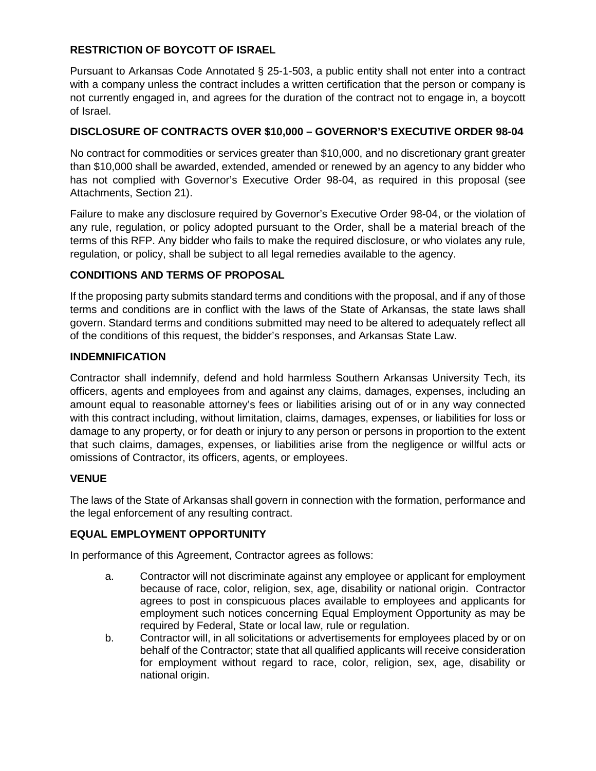### **RESTRICTION OF BOYCOTT OF ISRAEL**

Pursuant to Arkansas Code Annotated § 25-1-503, a public entity shall not enter into a contract with a company unless the contract includes a written certification that the person or company is not currently engaged in, and agrees for the duration of the contract not to engage in, a boycott of Israel.

### **DISCLOSURE OF CONTRACTS OVER \$10,000 – GOVERNOR'S EXECUTIVE ORDER 98-04**

No contract for commodities or services greater than \$10,000, and no discretionary grant greater than \$10,000 shall be awarded, extended, amended or renewed by an agency to any bidder who has not complied with Governor's Executive Order 98-04, as required in this proposal (see Attachments, Section 21).

Failure to make any disclosure required by Governor's Executive Order 98-04, or the violation of any rule, regulation, or policy adopted pursuant to the Order, shall be a material breach of the terms of this RFP. Any bidder who fails to make the required disclosure, or who violates any rule, regulation, or policy, shall be subject to all legal remedies available to the agency.

### **CONDITIONS AND TERMS OF PROPOSAL**

If the proposing party submits standard terms and conditions with the proposal, and if any of those terms and conditions are in conflict with the laws of the State of Arkansas, the state laws shall govern. Standard terms and conditions submitted may need to be altered to adequately reflect all of the conditions of this request, the bidder's responses, and Arkansas State Law.

### **INDEMNIFICATION**

Contractor shall indemnify, defend and hold harmless Southern Arkansas University Tech, its officers, agents and employees from and against any claims, damages, expenses, including an amount equal to reasonable attorney's fees or liabilities arising out of or in any way connected with this contract including, without limitation, claims, damages, expenses, or liabilities for loss or damage to any property, or for death or injury to any person or persons in proportion to the extent that such claims, damages, expenses, or liabilities arise from the negligence or willful acts or omissions of Contractor, its officers, agents, or employees.

### **VENUE**

The laws of the State of Arkansas shall govern in connection with the formation, performance and the legal enforcement of any resulting contract.

### **EQUAL EMPLOYMENT OPPORTUNITY**

In performance of this Agreement, Contractor agrees as follows:

- a. Contractor will not discriminate against any employee or applicant for employment because of race, color, religion, sex, age, disability or national origin. Contractor agrees to post in conspicuous places available to employees and applicants for employment such notices concerning Equal Employment Opportunity as may be required by Federal, State or local law, rule or regulation.
- b. Contractor will, in all solicitations or advertisements for employees placed by or on behalf of the Contractor; state that all qualified applicants will receive consideration for employment without regard to race, color, religion, sex, age, disability or national origin.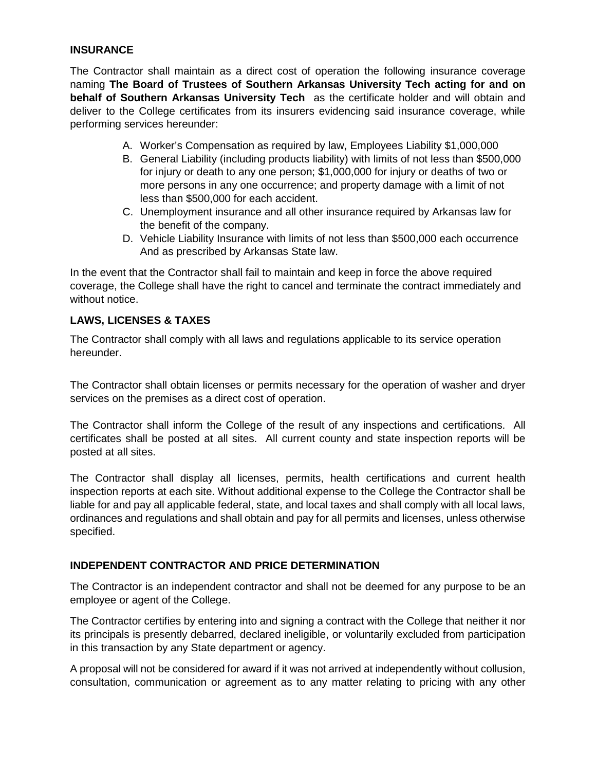#### **INSURANCE**

The Contractor shall maintain as a direct cost of operation the following insurance coverage naming **The Board of Trustees of Southern Arkansas University Tech acting for and on behalf of Southern Arkansas University Tech** as the certificate holder and will obtain and deliver to the College certificates from its insurers evidencing said insurance coverage, while performing services hereunder:

- A. Worker's Compensation as required by law, Employees Liability \$1,000,000
- B. General Liability (including products liability) with limits of not less than \$500,000 for injury or death to any one person; \$1,000,000 for injury or deaths of two or more persons in any one occurrence; and property damage with a limit of not less than \$500,000 for each accident.
- C. Unemployment insurance and all other insurance required by Arkansas law for the benefit of the company.
- D. Vehicle Liability Insurance with limits of not less than \$500,000 each occurrence And as prescribed by Arkansas State law.

In the event that the Contractor shall fail to maintain and keep in force the above required coverage, the College shall have the right to cancel and terminate the contract immediately and without notice.

### **LAWS, LICENSES & TAXES**

The Contractor shall comply with all laws and regulations applicable to its service operation hereunder.

The Contractor shall obtain licenses or permits necessary for the operation of washer and dryer services on the premises as a direct cost of operation.

The Contractor shall inform the College of the result of any inspections and certifications. All certificates shall be posted at all sites. All current county and state inspection reports will be posted at all sites.

The Contractor shall display all licenses, permits, health certifications and current health inspection reports at each site. Without additional expense to the College the Contractor shall be liable for and pay all applicable federal, state, and local taxes and shall comply with all local laws, ordinances and regulations and shall obtain and pay for all permits and licenses, unless otherwise specified.

### **INDEPENDENT CONTRACTOR AND PRICE DETERMINATION**

The Contractor is an independent contractor and shall not be deemed for any purpose to be an employee or agent of the College.

The Contractor certifies by entering into and signing a contract with the College that neither it nor its principals is presently debarred, declared ineligible, or voluntarily excluded from participation in this transaction by any State department or agency.

A proposal will not be considered for award if it was not arrived at independently without collusion, consultation, communication or agreement as to any matter relating to pricing with any other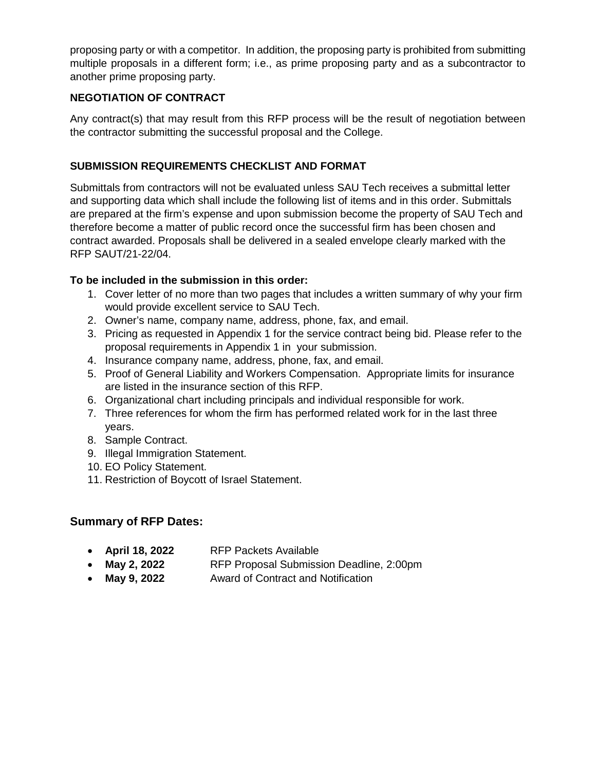proposing party or with a competitor. In addition, the proposing party is prohibited from submitting multiple proposals in a different form; i.e., as prime proposing party and as a subcontractor to another prime proposing party.

### **NEGOTIATION OF CONTRACT**

Any contract(s) that may result from this RFP process will be the result of negotiation between the contractor submitting the successful proposal and the College.

### **SUBMISSION REQUIREMENTS CHECKLIST AND FORMAT**

Submittals from contractors will not be evaluated unless SAU Tech receives a submittal letter and supporting data which shall include the following list of items and in this order. Submittals are prepared at the firm's expense and upon submission become the property of SAU Tech and therefore become a matter of public record once the successful firm has been chosen and contract awarded. Proposals shall be delivered in a sealed envelope clearly marked with the RFP SAUT/21-22/04.

### **To be included in the submission in this order:**

- 1. Cover letter of no more than two pages that includes a written summary of why your firm would provide excellent service to SAU Tech.
- 2. Owner's name, company name, address, phone, fax, and email.
- 3. Pricing as requested in Appendix 1 for the service contract being bid. Please refer to the proposal requirements in Appendix 1 in your submission.
- 4. Insurance company name, address, phone, fax, and email.
- 5. Proof of General Liability and Workers Compensation. Appropriate limits for insurance are listed in the insurance section of this RFP.
- 6. Organizational chart including principals and individual responsible for work.
- 7. Three references for whom the firm has performed related work for in the last three years.
- 8. Sample Contract.
- 9. Illegal Immigration Statement.
- 10. EO Policy Statement.
- 11. Restriction of Boycott of Israel Statement.

### **Summary of RFP Dates:**

| April 18, 2022<br><b>RFP Packets Available</b> |
|------------------------------------------------|
|------------------------------------------------|

- **May 2, 2022** RFP Proposal Submission Deadline, 2:00pm
- May 9, 2022 Award of Contract and Notification